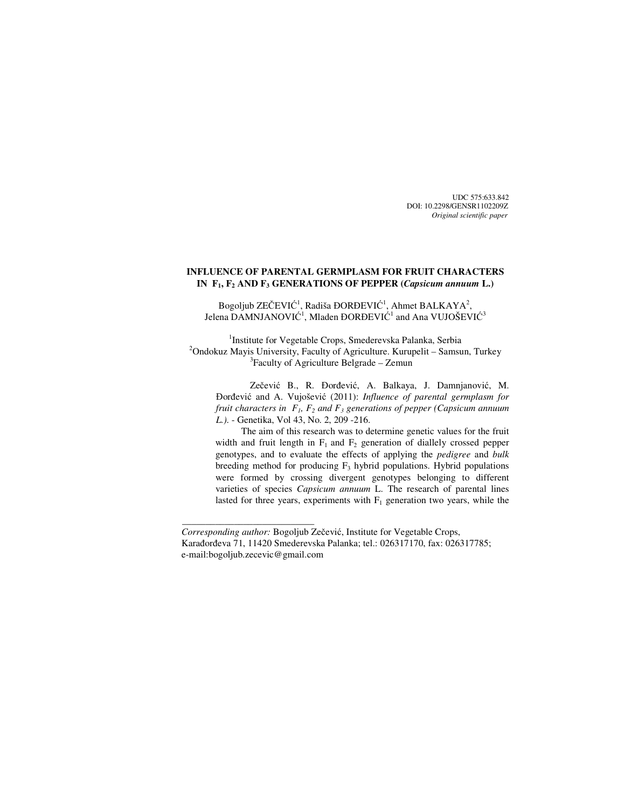UDC 575:633.842 DOI: 10.2298/GENSR1102209Z  *Original scientific paper*

# **INFLUENCE OF PARENTAL GERMPLASM FOR FRUIT CHARACTERS IN F1, F2 AND F3 GENERATIONS OF PEPPER (***Capsicum annuum* **L.)**

Bogoljub ZEČEVIĆ<sup>1</sup>, Radiša ĐORĐEVIĆ<sup>1</sup>, Ahmet BALKAYA<sup>2</sup>, Jelena  $\mathrm{DAMNJANOVI}\mathrm{C}^1,$  Mladen  $\mathrm{DORDEVI}\mathrm{C}^1$  and Ana  $\mathrm{VUJO}\mathrm{SEVI}\mathrm{C}^3$ 

<sup>1</sup>Institute for Vegetable Crops, Smederevska Palanka, Serbia <sup>2</sup>Ondokuz Mayis University, Faculty of Agriculture. Kurupelit – Samsun, Turkey 3 Faculty of Agriculture Belgrade – Zemun

Zečević B., R. Đorđević, A. Balkaya, J. Damnjanović, M. Đorđević and A. Vujošević (2011): *Influence of parental germplasm for fruit characters in*  $F_1$ ,  $F_2$  and  $F_3$  generations of pepper (Capsicum annuum *L.).* - Genetika, Vol 43, No. 2, 209 -216.

The aim of this research was to determine genetic values for the fruit width and fruit length in  $F_1$  and  $F_2$  generation of diallely crossed pepper genotypes, and to evaluate the effects of applying the *pedigree* and *bulk* breeding method for producing  $F_3$  hybrid populations. Hybrid populations were formed by crossing divergent genotypes belonging to different varieties of species *Capsicum annuum* L. The research of parental lines lasted for three years, experiments with  $F_1$  generation two years, while the

 $\overline{\phantom{a}}$  , and the set of the set of the set of the set of the set of the set of the set of the set of the set of the set of the set of the set of the set of the set of the set of the set of the set of the set of the s

*Corresponding author:* Bogoljub Zečević, Institute for Vegetable Crops, Karađorđeva 71, 11420 Smederevska Palanka; tel.: 026317170, fax: 026317785; e-mail:bogoljub.zecevic@gmail.com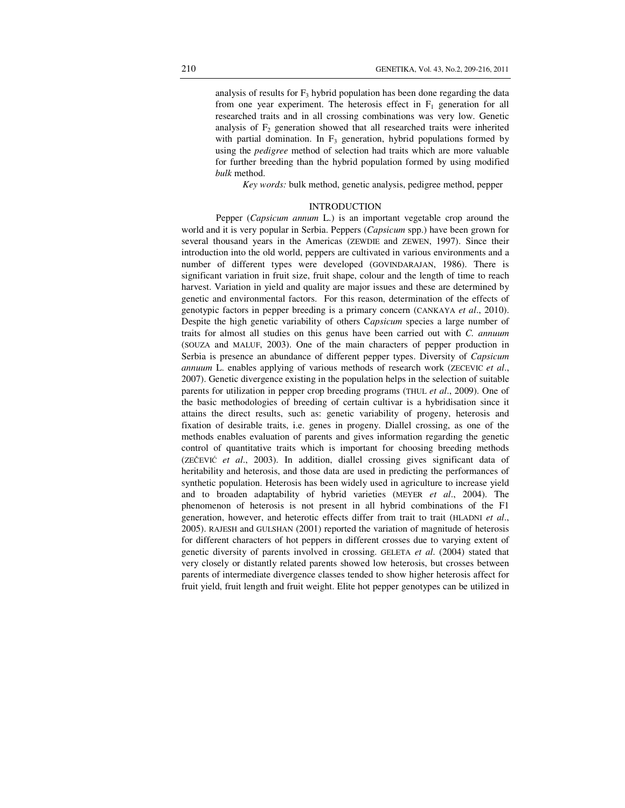analysis of results for  $F_3$  hybrid population has been done regarding the data from one year experiment. The heterosis effect in  $F_1$  generation for all researched traits and in all crossing combinations was very low. Genetic analysis of  $F_2$  generation showed that all researched traits were inherited with partial domination. In  $F_3$  generation, hybrid populations formed by using the *pedigree* method of selection had traits which are more valuable for further breeding than the hybrid population formed by using modified *bulk* method.

*Key words:* bulk method, genetic analysis, pedigree method, pepper

## **INTRODUCTION**

 Pepper (*Capsicum annum* L.) is an important vegetable crop around the world and it is very popular in Serbia. Peppers (*Capsicum* spp.) have been grown for several thousand years in the Americas (ZEWDIE and ZEWEN, 1997). Since their introduction into the old world, peppers are cultivated in various environments and a number of different types were developed (GOVINDARAJAN, 1986). There is significant variation in fruit size, fruit shape, colour and the length of time to reach harvest. Variation in yield and quality are major issues and these are determined by genetic and environmental factors. For this reason, determination of the effects of genotypic factors in pepper breeding is a primary concern (CANKAYA *et al*., 2010). Despite the high genetic variability of others C*apsicum* species a large number of traits for almost all studies on this genus have been carried out with *C. annuum* (SOUZA and MALUF, 2003). One of the main characters of pepper production in Serbia is presence an abundance of different pepper types. Diversity of *Capsicum annuum* L. enables applying of various methods of research work (ZECEVIC *et al*., 2007). Genetic divergence existing in the population helps in the selection of suitable parents for utilization in pepper crop breeding programs (THUL *et al*., 2009). One of the basic methodologies of breeding of certain cultivar is a hybridisation since it attains the direct results, such as: genetic variability of progeny, heterosis and fixation of desirable traits, i.e. genes in progeny. Diallel crossing, as one of the methods enables evaluation of parents and gives information regarding the genetic control of quantitative traits which is important for choosing breeding methods (ZEČEVIĆ *et al*., 2003). In addition, diallel crossing gives significant data of heritability and heterosis, and those data are used in predicting the performances of synthetic population. Heterosis has been widely used in agriculture to increase yield and to broaden adaptability of hybrid varieties (MEYER *et al*., 2004). The phenomenon of heterosis is not present in all hybrid combinations of the F1 generation, however, and heterotic effects differ from trait to trait (HLADNI *et al*., 2005). RAJESH and GULSHAN (2001) reported the variation of magnitude of heterosis for different characters of hot peppers in different crosses due to varying extent of genetic diversity of parents involved in crossing. GELETA *et al*. (2004) stated that very closely or distantly related parents showed low heterosis, but crosses between parents of intermediate divergence classes tended to show higher heterosis affect for fruit yield, fruit length and fruit weight. Elite hot pepper genotypes can be utilized in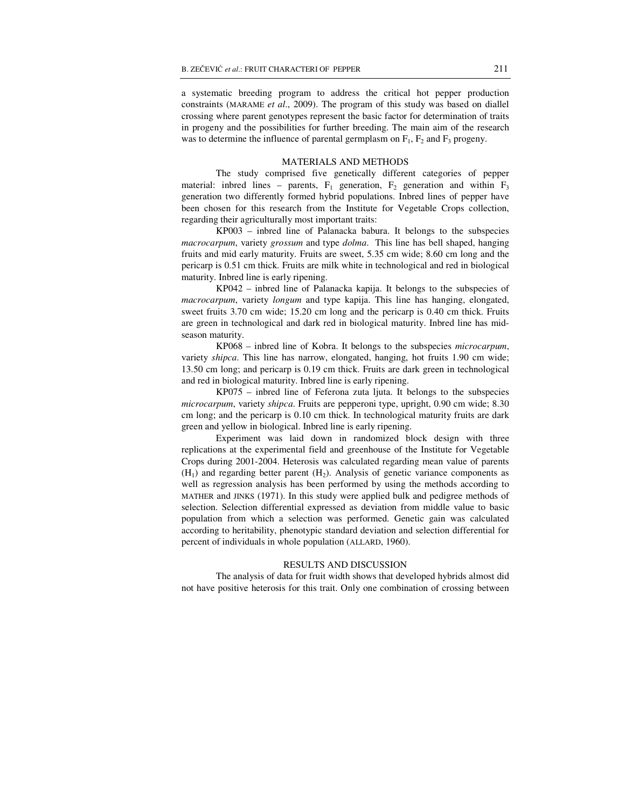a systematic breeding program to address the critical hot pepper production constraints (MARAME *et al*., 2009). The program of this study was based on diallel crossing where parent genotypes represent the basic factor for determination of traits in progeny and the possibilities for further breeding. The main aim of the research was to determine the influence of parental germplasm on  $F_1$ ,  $F_2$  and  $F_3$  progeny.

#### MATERIALS AND METHODS

The study comprised five genetically different categories of pepper material: inbred lines – parents,  $F_1$  generation,  $F_2$  generation and within  $F_3$ generation two differently formed hybrid populations. Inbred lines of pepper have been chosen for this research from the Institute for Vegetable Crops collection, regarding their agriculturally most important traits:

 KP003 – inbred line of Palanacka babura. It belongs to the subspecies *macrocarpum*, variety *grossum* and type *dolma*. This line has bell shaped, hanging fruits and mid early maturity. Fruits are sweet, 5.35 cm wide; 8.60 cm long and the pericarp is 0.51 cm thick. Fruits are milk white in technological and red in biological maturity. Inbred line is early ripening.

 KP042 – inbred line of Palanacka kapija. It belongs to the subspecies of *macrocarpum*, variety *longum* and type kapija. This line has hanging, elongated, sweet fruits 3.70 cm wide; 15.20 cm long and the pericarp is 0.40 cm thick. Fruits are green in technological and dark red in biological maturity. Inbred line has midseason maturity.

 KP068 – inbred line of Kobra. It belongs to the subspecies *microcarpum*, variety *shipca*. This line has narrow, elongated, hanging, hot fruits 1.90 cm wide; 13.50 cm long; and pericarp is 0.19 cm thick. Fruits are dark green in technological and red in biological maturity. Inbred line is early ripening.

 KP075 – inbred line of Feferona zuta ljuta. It belongs to the subspecies *microcarpum*, variety *shipca*. Fruits are pepperoni type, upright, 0.90 cm wide; 8.30 cm long; and the pericarp is 0.10 cm thick. In technological maturity fruits are dark green and yellow in biological. Inbred line is early ripening.

Experiment was laid down in randomized block design with three replications at the experimental field and greenhouse of the Institute for Vegetable Crops during 2001-2004. Heterosis was calculated regarding mean value of parents  $(H<sub>1</sub>)$  and regarding better parent  $(H<sub>2</sub>)$ . Analysis of genetic variance components as well as regression analysis has been performed by using the methods according to MATHER and JINKS (1971). In this study were applied bulk and pedigree methods of selection. Selection differential expressed as deviation from middle value to basic population from which a selection was performed. Genetic gain was calculated according to heritability, phenotypic standard deviation and selection differential for percent of individuals in whole population (ALLARD, 1960).

### RESULTS AND DISCUSSION

 The analysis of data for fruit width shows that developed hybrids almost did not have positive heterosis for this trait. Only one combination of crossing between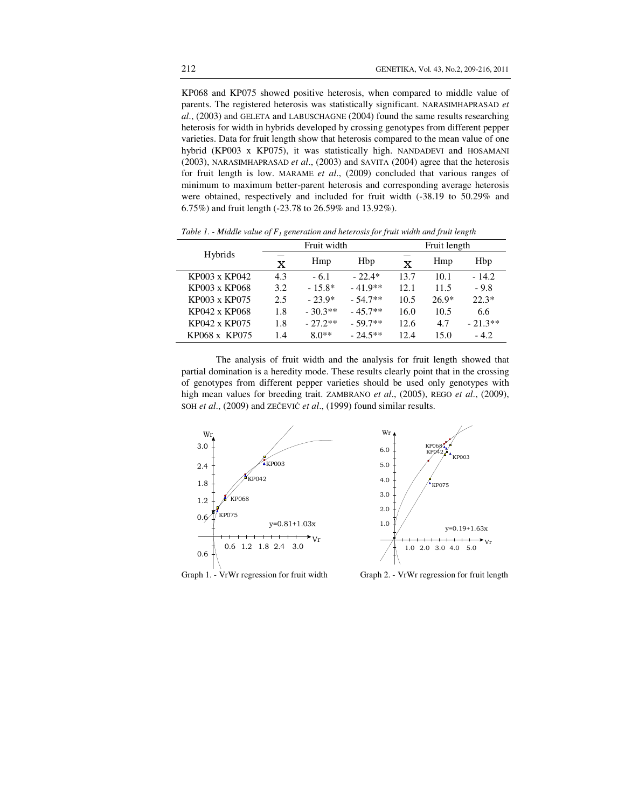KP068 and KP075 showed positive heterosis, when compared to middle value of parents. The registered heterosis was statistically significant. NARASIMHAPRASAD *et al*., (2003) and GELETA and LABUSCHAGNE (2004) found the same results researching heterosis for width in hybrids developed by crossing genotypes from different pepper varieties. Data for fruit length show that heterosis compared to the mean value of one hybrid (KP003 x KP075), it was statistically high. NANDADEVI and HOSAMANI (2003), NARASIMHAPRASAD *et al*., (2003) and SAVITA (2004) agree that the heterosis for fruit length is low. MARAME *et al*., (2009) concluded that various ranges of minimum to maximum better-parent heterosis and corresponding average heterosis were obtained, respectively and included for fruit width (-38.19 to 50.29% and 6.75%) and fruit length (-23.78 to 26.59% and 13.92%).

|               | Fruit width |           |           | Fruit length |         |           |
|---------------|-------------|-----------|-----------|--------------|---------|-----------|
| Hybrids       | x           | Hmp       | Hbp       | x            | Hmp     | Hbp       |
| KP003 x KP042 | 4.3         | $-6.1$    | $-22.4*$  | 13.7         | 10.1    | $-14.2$   |
| KP003 x KP068 | 3.2.        | $-15.8*$  | $-41.9**$ | 12.1         | 11.5    | $-9.8$    |
| KP003 x KP075 | 2.5         | $-23.9*$  | $-54.7**$ | 10.5         | $26.9*$ | $22.3*$   |
| KP042 x KP068 | 1.8         | $-30.3**$ | $-45.7**$ | 16.0         | 10.5    | 6.6       |
| KP042 x KP075 | 1.8         | $-27.2**$ | $-59.7**$ | 12.6         | 4.7     | $-21.3**$ |
| KP068 x KP075 | 1.4         | $80**$    | $-24.5**$ | 12.4         | 15.0    | $-4.2$    |

*Table 1. - Middle value of F<sup>1</sup> generation and heterosis for fruit width and fruit length* 

The analysis of fruit width and the analysis for fruit length showed that partial domination is a heredity mode. These results clearly point that in the crossing of genotypes from different pepper varieties should be used only genotypes with high mean values for breeding trait. ZAMBRANO *et al*., (2005), REGO *et al*., (2009), SOH *et al*., (2009) and ZEČEVIĆ *et al*., (1999) found similar results.



Graph 1. - VrWr regression for fruit width Graph 2. - VrWr regression for fruit length

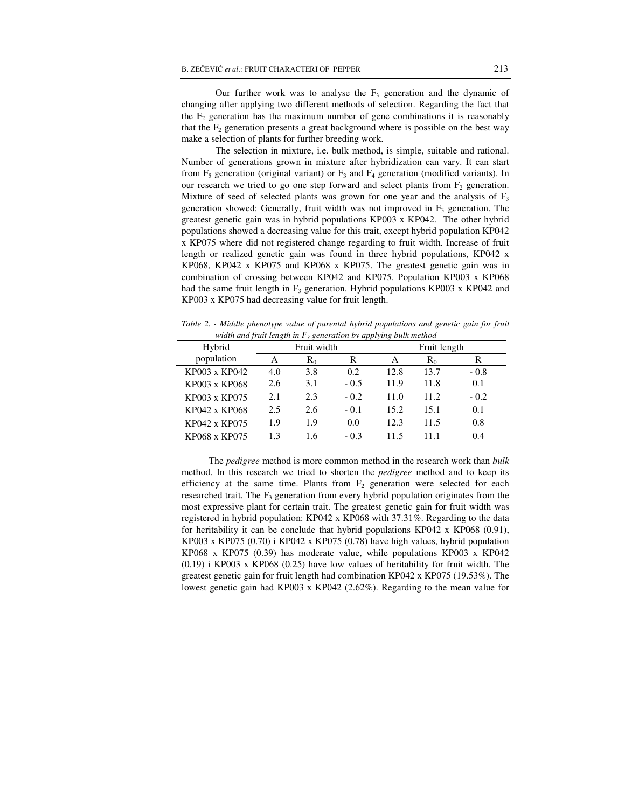Our further work was to analyse the  $F_3$  generation and the dynamic of changing after applying two different methods of selection. Regarding the fact that the  $F_2$  generation has the maximum number of gene combinations it is reasonably that the  $F_2$  generation presents a great background where is possible on the best way make a selection of plants for further breeding work.

 The selection in mixture, i.e. bulk method, is simple, suitable and rational. Number of generations grown in mixture after hybridization can vary. It can start from  $F_5$  generation (original variant) or  $F_3$  and  $F_4$  generation (modified variants). In our research we tried to go one step forward and select plants from  $F<sub>2</sub>$  generation. Mixture of seed of selected plants was grown for one year and the analysis of  $F_3$ generation showed: Generally, fruit width was not improved in  $F_3$  generation. The greatest genetic gain was in hybrid populations KP003 x KP042. The other hybrid populations showed a decreasing value for this trait, except hybrid population KP042 x KP075 where did not registered change regarding to fruit width. Increase of fruit length or realized genetic gain was found in three hybrid populations, KP042 x KP068, KP042 x KP075 and KP068 x KP075. The greatest genetic gain was in combination of crossing between KP042 and KP075. Population KP003 x KP068 had the same fruit length in  $F_3$  generation. Hybrid populations KP003 x KP042 and KP003 x KP075 had decreasing value for fruit length.

|               | wiain ana ji au iengin in 13 generation by applying baik memoa |       |        |              |       |        |  |
|---------------|----------------------------------------------------------------|-------|--------|--------------|-------|--------|--|
| Hybrid        | Fruit width                                                    |       |        | Fruit length |       |        |  |
| population    | А                                                              | $R_0$ | R      | A            | $R_0$ | R      |  |
| KP003 x KP042 | 4.0                                                            | 3.8   | 0.2    | 12.8         | 13.7  | $-0.8$ |  |
| KP003 x KP068 | 2.6                                                            | 3.1   | $-0.5$ | 11.9         | 11.8  | 0.1    |  |
| KP003 x KP075 | 2.1                                                            | 2.3   | $-0.2$ | 11.0         | 11.2  | $-0.2$ |  |
| KP042 x KP068 | 2.5                                                            | 2.6   | $-0.1$ | 15.2         | 15.1  | 0.1    |  |
| KP042 x KP075 | 1.9                                                            | 1.9   | 0.0    | 12.3         | 11.5  | 0.8    |  |
| KP068 x KP075 | 1.3                                                            | 1.6   | $-0.3$ | 11.5         | 111   | 0.4    |  |

*Table 2. - Middle phenotype value of parental hybrid populations and genetic gain for fruit width and fruit length in F<sup>3</sup> generation by applying bulk method* 

 The *pedigree* method is more common method in the research work than *bulk*  method. In this research we tried to shorten the *pedigree* method and to keep its efficiency at the same time. Plants from  $F<sub>2</sub>$  generation were selected for each researched trait. The  $F_3$  generation from every hybrid population originates from the most expressive plant for certain trait. The greatest genetic gain for fruit width was registered in hybrid population: KP042 x KP068 with 37.31%. Regarding to the data for heritability it can be conclude that hybrid populations KP042 x KP068 (0.91), KP003 x KP075 (0.70) i KP042 x KP075 (0.78) have high values, hybrid population KP068 x KP075 (0.39) has moderate value, while populations KP003 x KP042 (0.19) i KP003 x KP068 (0.25) have low values of heritability for fruit width. The greatest genetic gain for fruit length had combination KP042 x KP075 (19.53%). The lowest genetic gain had KP003 x KP042 (2.62%). Regarding to the mean value for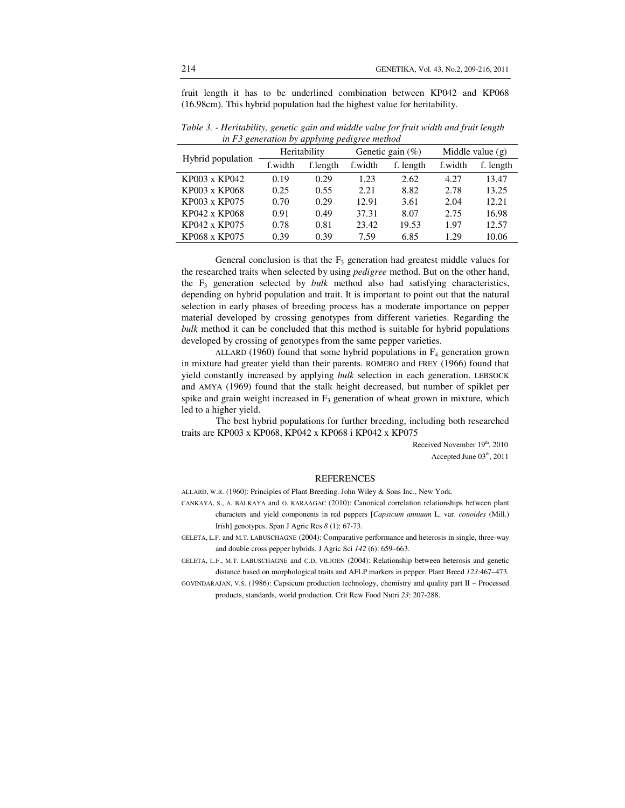fruit length it has to be underlined combination between KP042 and KP068 (16.98cm). This hybrid population had the highest value for heritability.

| Hybrid population | Heritability |          | Genetic gain $(\%)$ |           | Middle value $(g)$ |           |
|-------------------|--------------|----------|---------------------|-----------|--------------------|-----------|
|                   | f.width      | f.length | f.width             | f. length | f.width            | f. length |
| KP003 x KP042     | 0.19         | 0.29     | 1.23                | 2.62      | 4.27               | 13.47     |
| KP003 x KP068     | 0.25         | 0.55     | 2.21                | 8.82      | 2.78               | 13.25     |
| KP003 x KP075     | 0.70         | 0.29     | 12.91               | 3.61      | 2.04               | 12.21     |
| KP042 x KP068     | 0.91         | 0.49     | 37.31               | 8.07      | 2.75               | 16.98     |
| KP042 x KP075     | 0.78         | 0.81     | 23.42               | 19.53     | 1.97               | 12.57     |
| KP068 x KP075     | 0.39         | 0.39     | 7.59                | 6.85      | 1.29               | 10.06     |

*Table 3. - Heritability, genetic gain and middle value for fruit width and fruit length in F3 generation by applying pedigree method* 

General conclusion is that the  $F_3$  generation had greatest middle values for the researched traits when selected by using *pedigree* method. But on the other hand, the  $F_3$  generation selected by *bulk* method also had satisfying characteristics, depending on hybrid population and trait. It is important to point out that the natural selection in early phases of breeding process has a moderate importance on pepper material developed by crossing genotypes from different varieties. Regarding the *bulk* method it can be concluded that this method is suitable for hybrid populations developed by crossing of genotypes from the same pepper varieties.

ALLARD (1960) found that some hybrid populations in  $F_4$  generation grown in mixture had greater yield than their parents. ROMERO and FREY (1966) found that yield constantly increased by applying *bulk* selection in each generation. LEBSOCK and AMYA (1969) found that the stalk height decreased, but number of spiklet per spike and grain weight increased in  $F_3$  generation of wheat grown in mixture, which led to a higher yield.

The best hybrid populations for further breeding, including both researched traits are KP003 x KP068, KP042 x KP068 i KP042 x KP075

> Received November 19th, 2010 Accepted June  $03<sup>th</sup>$ , 2011

#### REFERENCES

ALLARD, W.R. (1960): Principles of Plant Breeding. John Wiley & Sons Inc., New York.

CANKAYA, S., A. BALKAYA and O. KARAAGAC (2010): Canonical correlation relationships between plant characters and yield components in red peppers [*Capsicum annuum* L. var. *conoides* (Mill.) Irish] genotypes. Span J Agric Res *8* (1): 67-73.

GELETA, L.F. and M.T. LABUSCHAGNE (2004): Comparative performance and heterosis in single, three-way and double cross pepper hybrids. J Agric Sci *142* (6): 659–663.

GELETA, L.F., M.T. LABUSCHAGNE and C.D, VILJOEN (2004): Relationship between heterosis and genetic distance based on morphological traits and AFLP markers in pepper. Plant Breed *123*:467–473.

GOVINDARAJAN, V.S. (1986): Capsicum production technology, chemistry and quality part II – Processed products, standards, world production. Crit Rew Food Nutri *23*: 207-288.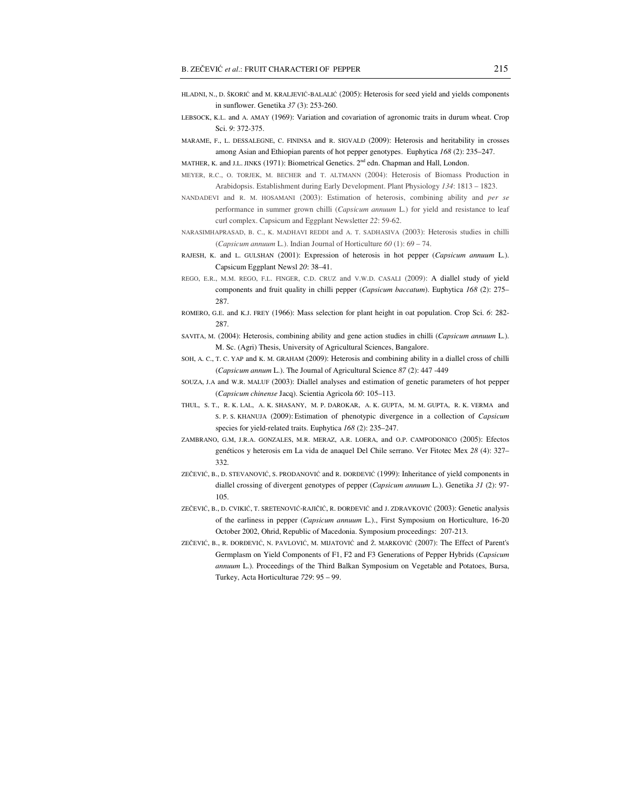- HLADNI, N., D. ŠKORIĆ and M. KRALJEVIĆ-BALALIĆ (2005): Heterosis for seed yield and yields components in sunflower. Genetika *37* (3): 253-260.
- LEBSOCK, K.L. and A. AMAY (1969): Variation and covariation of agronomic traits in durum wheat. Crop Sci. *9*: 372-375.

MARAME, F., L. DESSALEGNE, C. FININSA and R. SIGVALD (2009): Heterosis and heritability in crosses among Asian and Ethiopian parents of hot pepper genotypes. Euphytica *168* (2): 235–247.

MATHER, K. and J.L. JINKS (1971): Biometrical Genetics.  $2<sup>nd</sup>$  edn. Chapman and Hall, London.

- MEYER, R.C., O. TORJEK, M. BECHER and T. ALTMANN (2004): Heterosis of Biomass Production in Arabidopsis. Establishment during Early Development. Plant Physiology *134*: 1813 – 1823.
- NANDADEVI and R. M. HOSAMANI (2003): Estimation of heterosis, combining ability and *per se* performance in summer grown chilli (*Capsicum annuum* L.) for yield and resistance to leaf curl complex. Capsicum and Eggplant Newsletter *22*: 59-62.
- NARASIMHAPRASAD, B. C., K. MADHAVI REDDI and A. T. SADHASIVA (2003): Heterosis studies in chilli (*Capsicum annuum* L.). Indian Journal of Horticulture *60* (1): 69 – 74.
- RAJESH, K. and L. GULSHAN (2001): Expression of heterosis in hot pepper (*Capsicum annuum* L.). Capsicum Eggplant Newsl *20*: 38–41.
- REGO, E.R., M.M. REGO, F.L. FINGER, C.D. CRUZ and V.W.D. CASALI (2009): A diallel study of yield components and fruit quality in chilli pepper (*Capsicum baccatum*). Euphytica *168* (2): 275– 287.
- ROMERO, G.E. and K.J. FREY (1966): Mass selection for plant height in oat population. Crop Sci. *6*: 282- 287.
- SAVITA, M. (2004): Heterosis, combining ability and gene action studies in chilli (*Capsicum annuum* L.). M. Sc. (Agri) Thesis, University of Agricultural Sciences, Bangalore.
- SOH, A. C., T. C. YAP and K. M. GRAHAM (2009): Heterosis and combining ability in a diallel cross of chilli (*Capsicum annum* L.). The Journal of Agricultural Science *87* (2): 447 -449
- SOUZA, J.A and W.R. MALUF (2003): Diallel analyses and estimation of genetic parameters of hot pepper (*Capsicum chinense* Jacq). Scientia Agricola *60*: 105–113.
- THUL, S. T., R. K. LAL, A. K. SHASANY, M. P. DAROKAR, A. K. GUPTA, M. M. GUPTA, R. K. VERMA and S. P. S. KHANUJA (2009):Estimation of phenotypic divergence in a collection of *Capsicum* species for yield-related traits. Euphytica *168* (2): 235–247.
- ZAMBRANO, G.M, J.R.A. GONZALES, M.R. MERAZ, A.R. LOERA, and O.P. CAMPODONICO (2005): Efectos genéticos y heterosis em La vida de anaquel Del Chile serrano. Ver Fitotec Mex *28* (4): 327– 332.
- ZEČEVIĆ, B., D. STEVANOVIĆ, S. PRODANOVIĆ and R. ĐORĐEVIĆ (1999): Inheritance of yield components in diallel crossing of divergent genotypes of pepper (*Capsicum annuum* L.). Genetika *31* (2): 97- 105.
- ZEČEVIĆ, B., D. CVIKIĆ, T. SRETENOVIĆ-RAJIČIĆ, R. ĐORĐEVIĆ and J. ZDRAVKOVIĆ (2003): Genetic analysis of the earliness in pepper (*Capsicum annuum* L.)., First Symposium on Horticulture, 16-20 October 2002, Ohrid, Republic of Macedonia. Symposium proceedings: 207-213.
- ZEČEVIĆ, B., R. ĐORĐEVIĆ, N. PAVLOVIĆ, M. MIJATOVIĆ and Ž. MARKOVIĆ (2007): The Effect of Parent's Germplasm on Yield Components of F1, F2 and F3 Generations of Pepper Hybrids (*Capsicum annuum* L.). Proceedings of the Third Balkan Symposium on Vegetable and Potatoes, Bursa, Turkey, Acta Horticulturae *729*: 95 – 99.